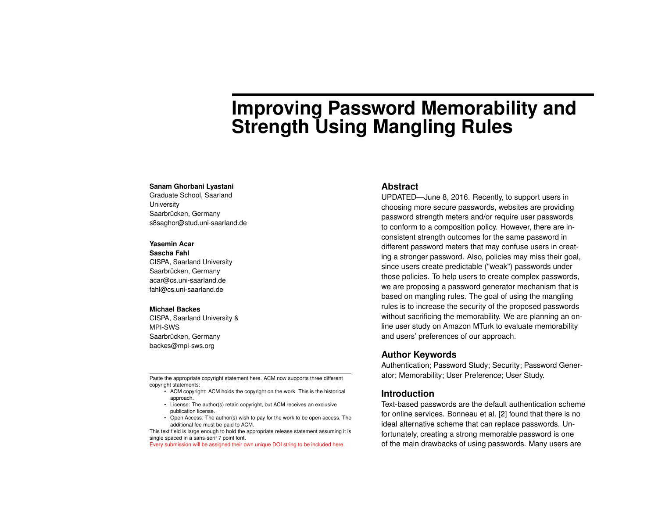# **Improving Password Memorability and Strength Using Mangling Rules**

#### **Sanam Ghorbani Lyastani**

Graduate School, Saarland **University** Saarbrücken, Germany s8saghor@stud.uni-saarland.de

#### **Yasemin Acar**

**Sascha Fahl** CISPA, Saarland University Saarbrücken, Germany acar@cs.uni-saarland.de fahl@cs.uni-saarland.de

#### **Michael Backes**

CISPA, Saarland University & MPI-SWS Saarbrücken, Germany backes@mpi-sws.org

Paste the appropriate copyright statement here. ACM now supports three different copyright statements:

- ACM copyright: ACM holds the copyright on the work. This is the historical approach.
- License: The author(s) retain copyright, but ACM receives an exclusive publication license.
- Open Access: The author(s) wish to pay for the work to be open access. The additional fee must be paid to ACM.

This text field is large enough to hold the appropriate release statement assuming it is single spaced in a sans-serif 7 point font.

Every submission will be assigned their own unique DOI string to be included here.

### **Abstract**

UPDATED—June 8, 2016. Recently, to support users in choosing more secure passwords, websites are providing password strength meters and/or require user passwords to conform to a composition policy. However, there are inconsistent strength outcomes for the same password in different password meters that may confuse users in creating a stronger password. Also, policies may miss their goal, since users create predictable ("weak") passwords under those policies. To help users to create complex passwords, we are proposing a password generator mechanism that is based on mangling rules. The goal of using the mangling rules is to increase the security of the proposed passwords without sacrificing the memorability. We are planning an online user study on Amazon MTurk to evaluate memorability and users' preferences of our approach.

## **Author Keywords**

Authentication; Password Study; Security; Password Generator; Memorability; User Preference; User Study.

## **Introduction**

Text-based passwords are the default authentication scheme for online services. Bonneau et al. [\[2\]](#page-4-0) found that there is no ideal alternative scheme that can replace passwords. Unfortunately, creating a strong memorable password is one of the main drawbacks of using passwords. Many users are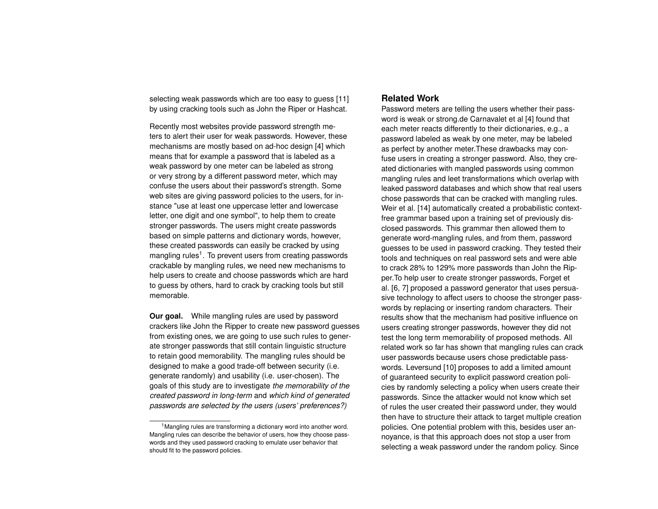selecting weak passwords which are too easy to guess [\[11\]](#page-5-0) by using cracking tools such as John the Riper or Hashcat.

Recently most websites provide password strength meters to alert their user for weak passwords. However, these mechanisms are mostly based on ad-hoc design [\[4\]](#page-4-1) which means that for example a password that is labeled as a weak password by one meter can be labeled as strong or very strong by a different password meter, which may confuse the users about their password's strength. Some web sites are giving password policies to the users, for instance "use at least one uppercase letter and lowercase letter, one digit and one symbol", to help them to create stronger passwords. The users might create passwords based on simple patterns and dictionary words, however, these created passwords can easily be cracked by using mangling rules<sup>[1](#page-1-0)</sup>. To prevent users from creating passwords crackable by mangling rules, we need new mechanisms to help users to create and choose passwords which are hard to guess by others, hard to crack by cracking tools but still memorable.

**Our goal.** While mangling rules are used by password crackers like John the Ripper to create new password guesses from existing ones, we are going to use such rules to generate stronger passwords that still contain linguistic structure to retain good memorability. The mangling rules should be designed to make a good trade-off between security (i.e. generate randomly) and usability (i.e. user-chosen). The goals of this study are to investigate *the memorability of the created password in long-term* and *which kind of generated passwords are selected by the users (users' preferences?)*

## **Related Work**

Password meters are telling the users whether their password is weak or strong.de Carnavalet et al [\[4\]](#page-4-1) found that each meter reacts differently to their dictionaries, e.g., a password labeled as weak by one meter, may be labeled as perfect by another meter.These drawbacks may confuse users in creating a stronger password. Also, they created dictionaries with mangled passwords using common mangling rules and leet transformations which overlap with leaked password databases and which show that real users chose passwords that can be cracked with mangling rules. Weir et al. [\[14\]](#page-5-1) automatically created a probabilistic contextfree grammar based upon a training set of previously disclosed passwords. This grammar then allowed them to generate word-mangling rules, and from them, password guesses to be used in password cracking. They tested their tools and techniques on real password sets and were able to crack 28% to 129% more passwords than John the Ripper.To help user to create stronger passwords, Forget et al. [\[6,](#page-4-2) [7\]](#page-4-3) proposed a password generator that uses persuasive technology to affect users to choose the stronger passwords by replacing or inserting random characters. Their results show that the mechanism had positive influence on users creating stronger passwords, however they did not test the long term memorability of proposed methods. All related work so far has shown that mangling rules can crack user passwords because users chose predictable passwords. Leversund [\[10\]](#page-4-4) proposes to add a limited amount of guaranteed security to explicit password creation policies by randomly selecting a policy when users create their passwords. Since the attacker would not know which set of rules the user created their password under, they would then have to structure their attack to target multiple creation policies. One potential problem with this, besides user annoyance, is that this approach does not stop a user from selecting a weak password under the random policy. Since

<span id="page-1-0"></span><sup>&</sup>lt;sup>1</sup>Mangling rules are transforming a dictionary word into another word. Mangling rules can describe the behavior of users, how they choose passwords and they used password cracking to emulate user behavior that should fit to the password policies.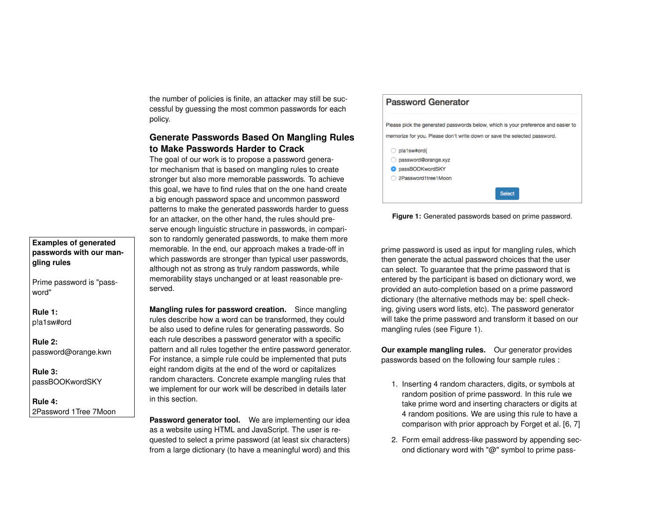the number of policies is finite, an attacker may still be successful by guessing the most common passwords for each policy.

# **Generate Passwords Based On Mangling Rules to Make Passwords Harder to Crack**

The goal of our work is to propose a password generator mechanism that is based on mangling rules to create stronger but also more memorable passwords. To achieve this goal, we have to find rules that on the one hand create a big enough password space and uncommon password patterns to make the generated passwords harder to guess for an attacker, on the other hand, the rules should preserve enough linguistic structure in passwords, in comparison to randomly generated passwords, to make them more memorable. In the end, our approach makes a trade-off in which passwords are stronger than typical user passwords, although not as strong as truly random passwords, while memorability stays unchanged or at least reasonable preserved.

**Mangling rules for password creation.** Since mangling rules describe how a word can be transformed, they could be also used to define rules for generating passwords. So each rule describes a password generator with a specific pattern and all rules together the entire password generator. For instance, a simple rule could be implemented that puts eight random digits at the end of the word or capitalizes random characters. Concrete example mangling rules that we implement for our work will be described in details later in this section.

Password generator tool. We are implementing our idea as a website using HTML and JavaScript. The user is requested to select a prime password (at least six characters) from a large dictionary (to have a meaningful word) and this

<span id="page-2-0"></span>

**Figure 1:** Generated passwords based on prime password.

prime password is used as input for mangling rules, which then generate the actual password choices that the user can select. To guarantee that the prime password that is entered by the participant is based on dictionary word, we provided an auto-completion based on a prime password dictionary (the alternative methods may be: spell checking, giving users word lists, etc). The password generator will take the prime password and transform it based on our mangling rules (see Figure [1\)](#page-2-0).

**Our example mangling rules.** Our generator provides passwords based on the following four sample rules :

- 1. Inserting 4 random characters, digits, or symbols at random position of prime password. In this rule we take prime word and inserting characters or digits at 4 random positions. We are using this rule to have a comparison with prior approach by Forget et al. [\[6,](#page-4-2) [7\]](#page-4-3)
- 2. Form email address-like password by appending second dictionary word with "@" symbol to prime pass-

**Examples of generated passwords with our mangling rules**

Prime password is "password"

```
Rule 1:
p!a1sw#ord
```
**Rule 2:** password@orange.kwn

**Rule 3:** passBOOKwordSKY

**Rule 4:** 2Password 1Tree 7Moon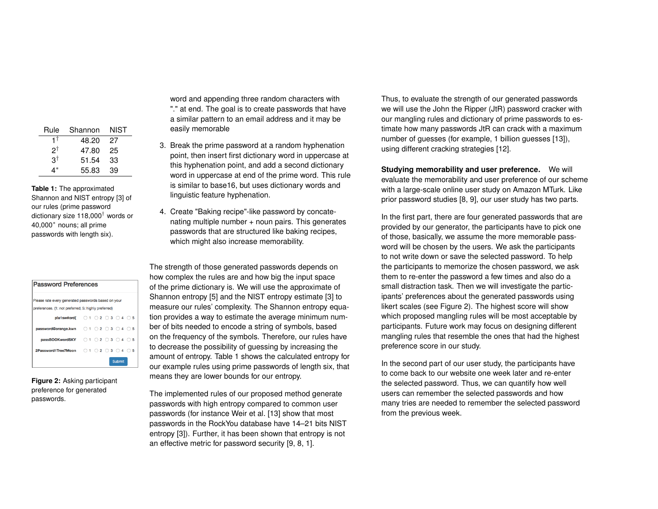| Shannon | NIST |
|---------|------|
| 48.20   | 27   |
| 47.80   | 25   |
| 51.54   | 33   |
| 55.83   | 39   |
|         |      |

<span id="page-3-0"></span>**Table 1:** The approximated Shannon and NIST entropy [\[3\]](#page-4-5) of our rules (prime password dictionary size 118,000† words or 40,000<sup>∗</sup> nouns; all prime passwords with length six).

| <b>Password Preferences</b>                                                  |  |  |  |  |                 |  |
|------------------------------------------------------------------------------|--|--|--|--|-----------------|--|
| Please rate every generated passwords based on your                          |  |  |  |  |                 |  |
| preferences. (1: not preferred; 5: highly preferred)                         |  |  |  |  |                 |  |
| pla1sw#ord{ $\bigcirc$ 1 $\bigcirc$ 2 $\bigcirc$ 3 $\bigcirc$ 4 $\bigcirc$ 5 |  |  |  |  |                 |  |
| password@orange.kwn 0102030405                                               |  |  |  |  |                 |  |
| passBOOKwordSKY 0102030405                                                   |  |  |  |  |                 |  |
| 2Password1Tree7Moon 0102030                                                  |  |  |  |  | $4^\circ$<br>-5 |  |
| <b>Submit</b>                                                                |  |  |  |  |                 |  |

<span id="page-3-1"></span>**Figure 2:** Asking participant preference for generated passwords.

word and appending three random characters with "." at end. The goal is to create passwords that have a similar pattern to an email address and it may be easily memorable

- 3. Break the prime password at a random hyphenation point, then insert first dictionary word in uppercase at this hyphenation point, and add a second dictionary word in uppercase at end of the prime word. This rule is similar to base16, but uses dictionary words and linguistic feature hyphenation.
- 4. Create "Baking recipe"-like password by concatenating multiple number + noun pairs. This generates passwords that are structured like baking recipes, which might also increase memorability.

The strength of those generated passwords depends on how complex the rules are and how big the input space of the prime dictionary is. We will use the approximate of Shannon entropy [\[5\]](#page-4-6) and the NIST entropy estimate [\[3\]](#page-4-5) to measure our rules' complexity. The Shannon entropy equation provides a way to estimate the average minimum number of bits needed to encode a string of symbols, based on the frequency of the symbols. Therefore, our rules have to decrease the possibility of guessing by increasing the amount of entropy. Table [1](#page-3-0) shows the calculated entropy for our example rules using prime passwords of length six, that means they are lower bounds for our entropy.

The implemented rules of our proposed method generate passwords with high entropy compared to common user passwords (for instance Weir et al. [\[13\]](#page-5-2) show that most passwords in the RockYou database have 14–21 bits NIST entropy [\[3\]](#page-4-5)). Further, it has been shown that entropy is not an effective metric for password security [\[9,](#page-4-7) [8,](#page-4-8) [1\]](#page-4-9).

Thus, to evaluate the strength of our generated passwords we will use the John the Ripper (JtR) password cracker with our mangling rules and dictionary of prime passwords to estimate how many passwords JtR can crack with a maximum number of guesses (for example, 1 billion guesses [\[13\]](#page-5-2)), using different cracking strategies [\[12\]](#page-5-3).

**Studying memorability and user preference.** We will evaluate the memorability and user preference of our scheme with a large-scale online user study on Amazon MTurk. Like prior password studies [\[8,](#page-4-8) [9\]](#page-4-7), our user study has two parts.

In the first part, there are four generated passwords that are provided by our generator, the participants have to pick one of those, basically, we assume the more memorable password will be chosen by the users. We ask the participants to not write down or save the selected password. To help the participants to memorize the chosen password, we ask them to re-enter the password a few times and also do a small distraction task. Then we will investigate the participants' preferences about the generated passwords using likert scales (see Figure [2\)](#page-3-1). The highest score will show which proposed mangling rules will be most acceptable by participants. Future work may focus on designing different mangling rules that resemble the ones that had the highest preference score in our study.

In the second part of our user study, the participants have to come back to our website one week later and re-enter the selected password. Thus, we can quantify how well users can remember the selected passwords and how many tries are needed to remember the selected password from the previous week.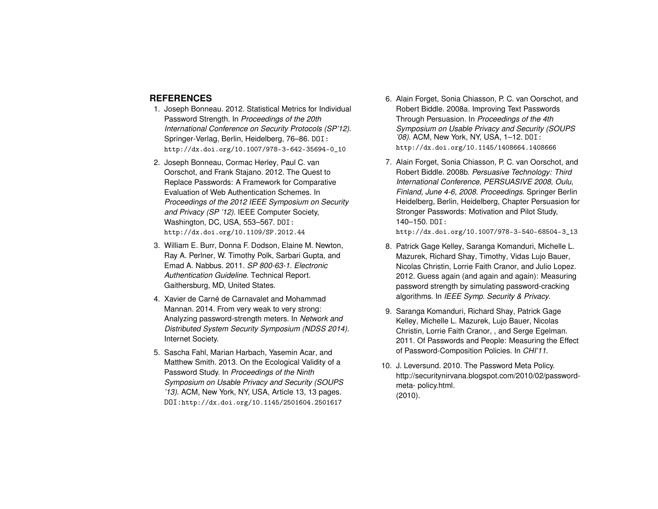# **REFERENCES**

- <span id="page-4-9"></span>1. Joseph Bonneau. 2012. Statistical Metrics for Individual Password Strength. In *Proceedings of the 20th International Conference on Security Protocols (SP'12)*. Springer-Verlag, Berlin, Heidelberg, 76–86. DOI: [http://dx.doi.org/10.1007/978-3-642-35694-0\\_10](http://dx.doi.org/10.1007/978-3-642-35694-0_10)
- <span id="page-4-0"></span>2. Joseph Bonneau, Cormac Herley, Paul C. van Oorschot, and Frank Stajano. 2012. The Quest to Replace Passwords: A Framework for Comparative Evaluation of Web Authentication Schemes. In *Proceedings of the 2012 IEEE Symposium on Security and Privacy (SP '12)*. IEEE Computer Society, Washington, DC, USA, 553–567. DOI: <http://dx.doi.org/10.1109/SP.2012.44>
- <span id="page-4-5"></span>3. William E. Burr, Donna F. Dodson, Elaine M. Newton, Ray A. Perlner, W. Timothy Polk, Sarbari Gupta, and Emad A. Nabbus. 2011. *SP 800-63-1. Electronic Authentication Guideline*. Technical Report. Gaithersburg, MD, United States.
- <span id="page-4-1"></span>4. Xavier de Carné de Carnavalet and Mohammad Mannan. 2014. From very weak to very strong: Analyzing password-strength meters. In *Network and Distributed System Security Symposium (NDSS 2014)*. Internet Society.
- <span id="page-4-6"></span>5. Sascha Fahl, Marian Harbach, Yasemin Acar, and Matthew Smith. 2013. On the Ecological Validity of a Password Study. In *Proceedings of the Ninth Symposium on Usable Privacy and Security (SOUPS '13)*. ACM, New York, NY, USA, Article 13, 13 pages. DOI:<http://dx.doi.org/10.1145/2501604.2501617>
- <span id="page-4-2"></span>6. Alain Forget, Sonia Chiasson, P. C. van Oorschot, and Robert Biddle. 2008a. Improving Text Passwords Through Persuasion. In *Proceedings of the 4th Symposium on Usable Privacy and Security (SOUPS '08)*. ACM, New York, NY, USA, 1–12. DOI: <http://dx.doi.org/10.1145/1408664.1408666>
- <span id="page-4-3"></span>7. Alain Forget, Sonia Chiasson, P. C. van Oorschot, and Robert Biddle. 2008b. *Persuasive Technology: Third International Conference, PERSUASIVE 2008, Oulu, Finland, June 4-6, 2008. Proceedings*. Springer Berlin Heidelberg, Berlin, Heidelberg, Chapter Persuasion for Stronger Passwords: Motivation and Pilot Study, 140–150. DOI:

[http://dx.doi.org/10.1007/978-3-540-68504-3\\_13](http://dx.doi.org/10.1007/978-3-540-68504-3_13)

- <span id="page-4-8"></span>8. Patrick Gage Kelley, Saranga Komanduri, Michelle L. Mazurek, Richard Shay, Timothy, Vidas Lujo Bauer, Nicolas Christin, Lorrie Faith Cranor, and Julio Lopez. 2012. Guess again (and again and again): Measuring password strength by simulating password-cracking algorithms. In *IEEE Symp. Security & Privacy*.
- <span id="page-4-7"></span>9. Saranga Komanduri, Richard Shay, Patrick Gage Kelley, Michelle L. Mazurek, Lujo Bauer, Nicolas Christin, Lorrie Faith Cranor, , and Serge Egelman. 2011. Of Passwords and People: Measuring the Effect of Password-Composition Policies. In *CHI'11*.
- <span id="page-4-4"></span>10. J. Leversund. 2010. The Password Meta Policy. http://securitynirvana.blogspot.com/2010/02/passwordmeta- policy.html. (2010).